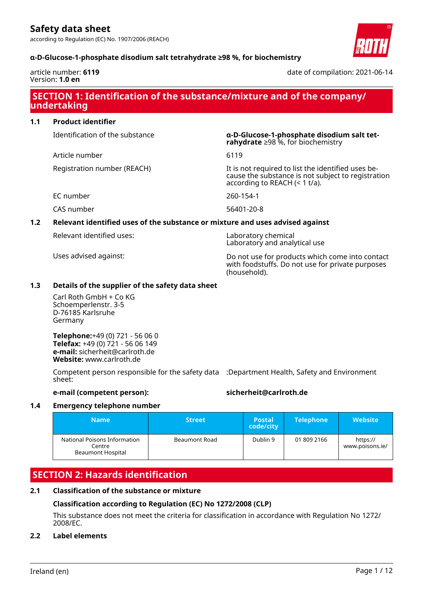according to Regulation (EC) No. 1907/2006 (REACH)





article number: **6119** Version: **1.0 en**

date of compilation: 2021-06-14

# **SECTION 1: Identification of the substance/mixture and of the company/ undertaking**

# **1.1 Product identifier**

Identification of the substance **α-D-Glucose-1-phosphate disodium salt tet-**

Article number 6119

Registration number (REACH) It is not required to list the identified uses be-

EC number 260-154-1

CAS number 56401-20-8

# **1.2 Relevant identified uses of the substance or mixture and uses advised against**

Relevant identified uses: Laboratory chemical

Laboratory and analytical use

according to REACH (< 1 t/a).

**rahydrate** ≥98 %, for biochemistry

Uses advised against: Do not use for products which come into contact with foodstuffs. Do not use for private purposes (household).

cause the substance is not subject to registration

# **1.3 Details of the supplier of the safety data sheet**

Carl Roth GmbH + Co KG Schoemperlenstr. 3-5 D-76185 Karlsruhe Germany

**Telephone:**+49 (0) 721 - 56 06 0 **Telefax:** +49 (0) 721 - 56 06 149 **e-mail:** sicherheit@carlroth.de **Website:** www.carlroth.de

Competent person responsible for the safety data :Department Health, Safety and Environment sheet:

# **e-mail (competent person): sicherheit@carlroth.de**

# **1.4 Emergency telephone number**

| <b>Name</b>                                                 | <b>Street</b> | <b>Postal</b><br>code/city | <b>Telephone</b> | <b>Website</b>              |
|-------------------------------------------------------------|---------------|----------------------------|------------------|-----------------------------|
| National Poisons Information<br>Centre<br>Beaumont Hospital | Beaumont Road | Dublin 9                   | 01 809 2166      | https://<br>www.poisons.ie/ |

# **SECTION 2: Hazards identification**

# **2.1 Classification of the substance or mixture**

# **Classification according to Regulation (EC) No 1272/2008 (CLP)**

This substance does not meet the criteria for classification in accordance with Regulation No 1272/ 2008/EC.

# **2.2 Label elements**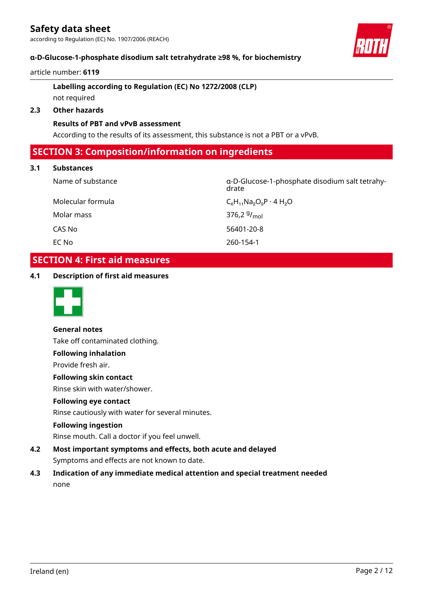**α-D-Glucose-1-phosphate disodium salt tetrahydrate ≥98 %, for biochemistry**

### article number: **6119**

# **Labelling according to Regulation (EC) No 1272/2008 (CLP)** not required

# **2.3 Other hazards**

# **Results of PBT and vPvB assessment**

According to the results of its assessment, this substance is not a PBT or a vPvB.

# **SECTION 3: Composition/information on ingredients**

### **3.1 Substances**

Molecular formula  $C_6H_{11}Na_2O_9P \cdot 4H_2O$ Molar mass CAS No 56401-20-8 EC No 260-154-1

Name of substance α-D-Glucose-1-phosphate disodium salt tetrahydrate

376,2 $9/_{mol}$ 

# **SECTION 4: First aid measures**

### **4.1 Description of first aid measures**



**General notes** Take off contaminated clothing.

# **Following inhalation**

Provide fresh air.

# **Following skin contact**

Rinse skin with water/shower.

### **Following eye contact**

Rinse cautiously with water for several minutes.

### **Following ingestion**

Rinse mouth. Call a doctor if you feel unwell.

- **4.2 Most important symptoms and effects, both acute and delayed** Symptoms and effects are not known to date.
- **4.3 Indication of any immediate medical attention and special treatment needed** none

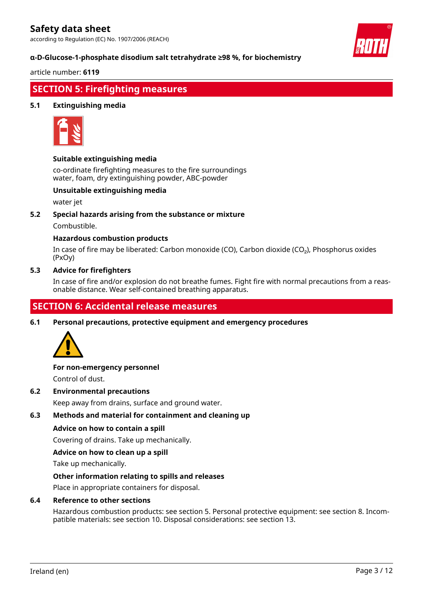according to Regulation (EC) No. 1907/2006 (REACH)

### **α-D-Glucose-1-phosphate disodium salt tetrahydrate ≥98 %, for biochemistry**

article number: **6119**

# **SECTION 5: Firefighting measures**

### **5.1 Extinguishing media**



### **Suitable extinguishing media**

co-ordinate firefighting measures to the fire surroundings water, foam, dry extinguishing powder, ABC-powder

### **Unsuitable extinguishing media**

water jet

### **5.2 Special hazards arising from the substance or mixture**

Combustible.

### **Hazardous combustion products**

In case of fire may be liberated: Carbon monoxide (CO), Carbon dioxide (CO₂), Phosphorus oxides (PxOy)

### **5.3 Advice for firefighters**

In case of fire and/or explosion do not breathe fumes. Fight fire with normal precautions from a reasonable distance. Wear self-contained breathing apparatus.

# **SECTION 6: Accidental release measures**

**6.1 Personal precautions, protective equipment and emergency procedures**



# **For non-emergency personnel**

Control of dust.

**6.2 Environmental precautions**

Keep away from drains, surface and ground water.

### **6.3 Methods and material for containment and cleaning up**

#### **Advice on how to contain a spill**

Covering of drains. Take up mechanically.

#### **Advice on how to clean up a spill**

Take up mechanically.

#### **Other information relating to spills and releases**

Place in appropriate containers for disposal.

#### **6.4 Reference to other sections**

Hazardous combustion products: see section 5. Personal protective equipment: see section 8. Incompatible materials: see section 10. Disposal considerations: see section 13.

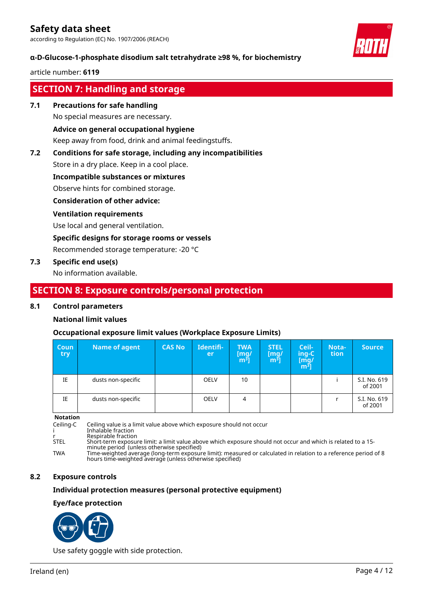according to Regulation (EC) No. 1907/2006 (REACH)

### **α-D-Glucose-1-phosphate disodium salt tetrahydrate ≥98 %, for biochemistry**

#### article number: **6119**

# **SECTION 7: Handling and storage**

### **7.1 Precautions for safe handling**

No special measures are necessary.

### **Advice on general occupational hygiene**

Keep away from food, drink and animal feedingstuffs.

### **7.2 Conditions for safe storage, including any incompatibilities**

Store in a dry place. Keep in a cool place.

### **Incompatible substances or mixtures**

Observe hints for combined storage.

### **Consideration of other advice:**

### **Ventilation requirements**

Use local and general ventilation.

### **Specific designs for storage rooms or vessels**

Recommended storage temperature: -20 °C

### **7.3 Specific end use(s)**

No information available.

# **SECTION 8: Exposure controls/personal protection**

### **8.1 Control parameters**

### **National limit values**

### **Occupational exposure limit values (Workplace Exposure Limits)**

| <b>Coun</b><br>try | Name of agent      | <b>CAS No</b> | Identifi-<br>er | <b>TWA</b><br>$\begin{bmatrix} \text{mg/} \\ \text{m}^3 \end{bmatrix}$ | <b>STEL</b><br>[mq/<br>m <sup>3</sup> | Ceil-<br>ing-C<br>$\begin{bmatrix} \bar{\text{mg}}/ \ \text{m}^3 \end{bmatrix}$ | Nota-<br>tion | <b>Source</b>           |
|--------------------|--------------------|---------------|-----------------|------------------------------------------------------------------------|---------------------------------------|---------------------------------------------------------------------------------|---------------|-------------------------|
| IE                 | dusts non-specific |               | <b>OELV</b>     | 10                                                                     |                                       |                                                                                 |               | S.I. No. 619<br>of 2001 |
| IE                 | dusts non-specific |               | <b>OELV</b>     | 4                                                                      |                                       |                                                                                 |               | S.I. No. 619<br>of 2001 |

**Notation**

Ceiling-C Ceiling value is a limit value above which exposure should not occur

i Inhalable fraction

r Respirable fraction<br>STEL Short-term exposure Resphasic maction<br>Short-term exposure limit: a limit value above which exposure should not occur and which is related to a 15-

minute period (unless otherwise specified)

TWA Time-weighted average (long-term exposure limit): measured or calculated in relation to a reference period of 8 hours time-weighted average (unless otherwise specified)

### **8.2 Exposure controls**

### **Individual protection measures (personal protective equipment)**

### **Eye/face protection**



Use safety goggle with side protection.



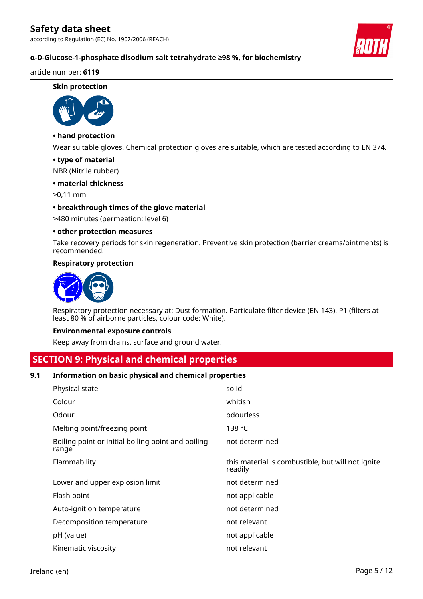according to Regulation (EC) No. 1907/2006 (REACH)



# **α-D-Glucose-1-phosphate disodium salt tetrahydrate ≥98 %, for biochemistry**

### article number: **6119**

#### **Skin protection**



## **• hand protection**

Wear suitable gloves. Chemical protection gloves are suitable, which are tested according to EN 374.

### **• type of material**

NBR (Nitrile rubber)

### **• material thickness**

>0,11 mm

### **• breakthrough times of the glove material**

>480 minutes (permeation: level 6)

### **• other protection measures**

Take recovery periods for skin regeneration. Preventive skin protection (barrier creams/ointments) is recommended.

### **Respiratory protection**



Respiratory protection necessary at: Dust formation. Particulate filter device (EN 143). P1 (filters at least 80 % of airborne particles, colour code: White).

### **Environmental exposure controls**

Keep away from drains, surface and ground water.

# **SECTION 9: Physical and chemical properties**

### **9.1 Information on basic physical and chemical properties**

| Physical state                                              | solid                                                        |
|-------------------------------------------------------------|--------------------------------------------------------------|
| Colour                                                      | whitish                                                      |
| Odour                                                       | odourless                                                    |
| Melting point/freezing point                                | 138 $^{\circ}$ C                                             |
| Boiling point or initial boiling point and boiling<br>range | not determined                                               |
| Flammability                                                | this material is combustible, but will not ignite<br>readily |
| Lower and upper explosion limit                             | not determined                                               |
| Flash point                                                 | not applicable                                               |
| Auto-ignition temperature                                   | not determined                                               |
| Decomposition temperature                                   | not relevant                                                 |
| pH (value)                                                  | not applicable                                               |
| Kinematic viscosity                                         | not relevant                                                 |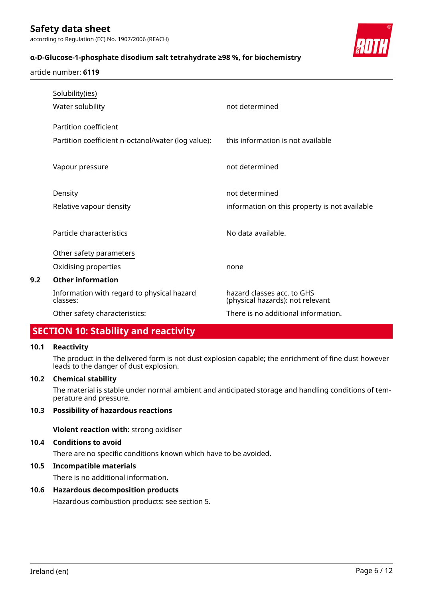# **α-D-Glucose-1-phosphate disodium salt tetrahydrate ≥98 %, for biochemistry**



#### article number: **6119**

|     | Solubility(ies)                                        |                                                                |
|-----|--------------------------------------------------------|----------------------------------------------------------------|
|     | Water solubility                                       | not determined                                                 |
|     | Partition coefficient                                  |                                                                |
|     | Partition coefficient n-octanol/water (log value):     | this information is not available                              |
|     | Vapour pressure                                        | not determined                                                 |
|     | Density                                                | not determined                                                 |
|     | Relative vapour density                                | information on this property is not available                  |
|     | Particle characteristics                               | No data available.                                             |
|     | Other safety parameters                                |                                                                |
|     | Oxidising properties                                   | none                                                           |
| 9.2 | <b>Other information</b>                               |                                                                |
|     | Information with regard to physical hazard<br>classes: | hazard classes acc. to GHS<br>(physical hazards): not relevant |
|     | Other safety characteristics:                          | There is no additional information.                            |

# **SECTION 10: Stability and reactivity**

### **10.1 Reactivity**

The product in the delivered form is not dust explosion capable; the enrichment of fine dust however leads to the danger of dust explosion.

### **10.2 Chemical stability**

The material is stable under normal ambient and anticipated storage and handling conditions of temperature and pressure.

### **10.3 Possibility of hazardous reactions**

**Violent reaction with:** strong oxidiser

### **10.4 Conditions to avoid**

There are no specific conditions known which have to be avoided.

### **10.5 Incompatible materials**

There is no additional information.

### **10.6 Hazardous decomposition products**

Hazardous combustion products: see section 5.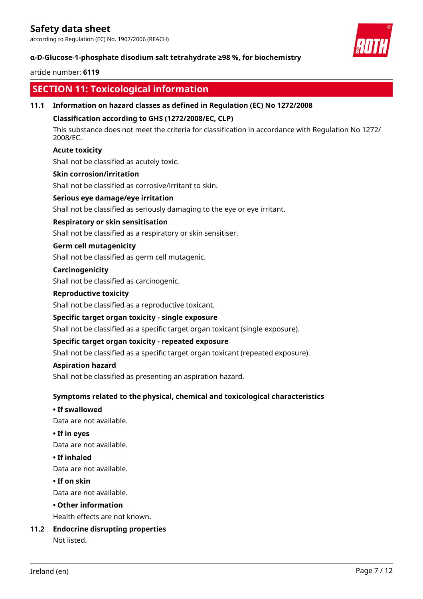according to Regulation (EC) No. 1907/2006 (REACH)



# **α-D-Glucose-1-phosphate disodium salt tetrahydrate ≥98 %, for biochemistry**

### article number: **6119**

# **SECTION 11: Toxicological information**

### **11.1 Information on hazard classes as defined in Regulation (EC) No 1272/2008**

### **Classification according to GHS (1272/2008/EC, CLP)**

This substance does not meet the criteria for classification in accordance with Regulation No 1272/ 2008/EC.

### **Acute toxicity**

Shall not be classified as acutely toxic.

### **Skin corrosion/irritation**

Shall not be classified as corrosive/irritant to skin.

### **Serious eye damage/eye irritation**

Shall not be classified as seriously damaging to the eye or eye irritant.

### **Respiratory or skin sensitisation**

Shall not be classified as a respiratory or skin sensitiser.

### **Germ cell mutagenicity**

Shall not be classified as germ cell mutagenic.

### **Carcinogenicity**

Shall not be classified as carcinogenic.

### **Reproductive toxicity**

Shall not be classified as a reproductive toxicant.

### **Specific target organ toxicity - single exposure**

Shall not be classified as a specific target organ toxicant (single exposure).

### **Specific target organ toxicity - repeated exposure**

Shall not be classified as a specific target organ toxicant (repeated exposure).

### **Aspiration hazard**

Shall not be classified as presenting an aspiration hazard.

# **Symptoms related to the physical, chemical and toxicological characteristics**

### **• If swallowed**

Data are not available.

### **• If in eyes**

Data are not available.

### **• If inhaled**

Data are not available.

### **• If on skin**

Data are not available.

### **• Other information**

Health effects are not known.

# **11.2 Endocrine disrupting properties**

Not listed.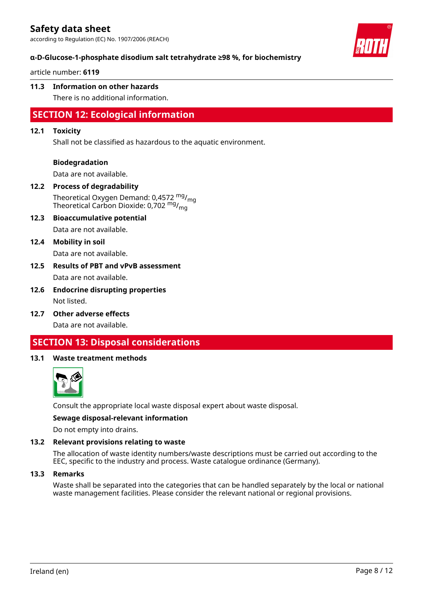according to Regulation (EC) No. 1907/2006 (REACH)



### **α-D-Glucose-1-phosphate disodium salt tetrahydrate ≥98 %, for biochemistry**

article number: **6119**

### **11.3 Information on other hazards**

There is no additional information.

# **SECTION 12: Ecological information**

### **12.1 Toxicity**

Shall not be classified as hazardous to the aquatic environment.

### **Biodegradation**

Data are not available.

### **12.2 Process of degradability**

Theoretical Oxygen Demand: 0,4572 <sup>mg</sup>/<sub>mg</sub> Theoretical Carbon Dioxide: 0,702 <sup>mg</sup>/<sub>mg</sub>

**12.3 Bioaccumulative potential** Data are not available.

### **12.4 Mobility in soil**

Data are not available.

- **12.5 Results of PBT and vPvB assessment** Data are not available.
- **12.6 Endocrine disrupting properties** Not listed.
- **12.7 Other adverse effects** Data are not available.

# **SECTION 13: Disposal considerations**

### **13.1 Waste treatment methods**



Consult the appropriate local waste disposal expert about waste disposal.

#### **Sewage disposal-relevant information**

Do not empty into drains.

### **13.2 Relevant provisions relating to waste**

The allocation of waste identity numbers/waste descriptions must be carried out according to the EEC, specific to the industry and process. Waste catalogue ordinance (Germany).

#### **13.3 Remarks**

Waste shall be separated into the categories that can be handled separately by the local or national waste management facilities. Please consider the relevant national or regional provisions.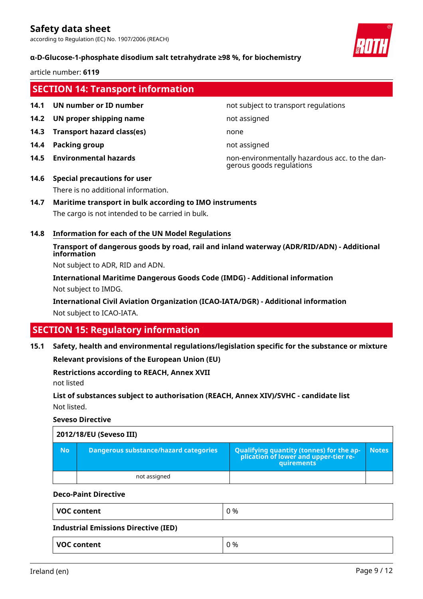according to Regulation (EC) No. 1907/2006 (REACH)

### **α-D-Glucose-1-phosphate disodium salt tetrahydrate ≥98 %, for biochemistry**

article number: **6119**

# **SECTION 14: Transport information**

- 
- **14.2 UN proper shipping name** not assigned
- **14.3 Transport hazard class(es)** none
- **14.4 Packing group not assigned**
- 

### **14.1 UN number or ID number not subject to transport regulations**

**14.5 Environmental hazards** non-environmentally hazardous acc. to the dangerous goods regulations

# **14.6 Special precautions for user**

There is no additional information.

### **14.7 Maritime transport in bulk according to IMO instruments**

The cargo is not intended to be carried in bulk.

### **14.8 Information for each of the UN Model Regulations**

**Transport of dangerous goods by road, rail and inland waterway (ADR/RID/ADN) - Additional information**

Not subject to ADR, RID and ADN.

**International Maritime Dangerous Goods Code (IMDG) - Additional information** Not subject to IMDG.

**International Civil Aviation Organization (ICAO-IATA/DGR) - Additional information** Not subject to ICAO-IATA.

# **SECTION 15: Regulatory information**

**15.1 Safety, health and environmental regulations/legislation specific for the substance or mixture**

**Relevant provisions of the European Union (EU)**

## **Restrictions according to REACH, Annex XVII**

not listed

**List of substances subject to authorisation (REACH, Annex XIV)/SVHC - candidate list** Not listed.

### **Seveso Directive**

| 2012/18/EU (Seveso III) |                                       |                                                                                                               |              |  |  |
|-------------------------|---------------------------------------|---------------------------------------------------------------------------------------------------------------|--------------|--|--|
| <b>No</b>               | Dangerous substance/hazard categories | <b>Qualifying quantity (tonnes) for the ap-</b><br>plication of lower and upper-tier re-<br><b>auirements</b> | <b>Notes</b> |  |  |
|                         | not assigned                          |                                                                                                               |              |  |  |

#### **Deco-Paint Directive**

| <b>VOC content</b>                          | 0 % |  |  |
|---------------------------------------------|-----|--|--|
| <b>Industrial Emissions Directive (IED)</b> |     |  |  |
| <b>VOC content</b>                          | 0 % |  |  |

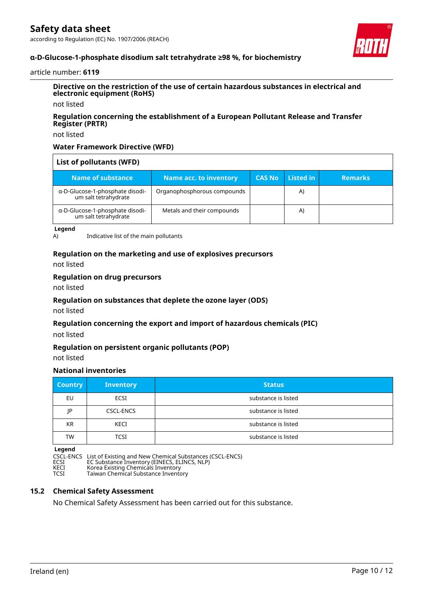according to Regulation (EC) No. 1907/2006 (REACH)



### **α-D-Glucose-1-phosphate disodium salt tetrahydrate ≥98 %, for biochemistry**

#### article number: **6119**

### **Directive on the restriction of the use of certain hazardous substances in electrical and electronic equipment (RoHS)**

not listed

### **Regulation concerning the establishment of a European Pollutant Release and Transfer Register (PRTR)**

not listed

### **Water Framework Directive (WFD)**

| List of pollutants (WFD)                                |                             |               |           |                |
|---------------------------------------------------------|-----------------------------|---------------|-----------|----------------|
| Name of substance                                       | Name acc. to inventory      | <b>CAS No</b> | Listed in | <b>Remarks</b> |
| α-D-Glucose-1-phosphate disodi-<br>um salt tetrahydrate | Organophosphorous compounds |               | A)        |                |
| α-D-Glucose-1-phosphate disodi-<br>um salt tetrahydrate | Metals and their compounds  |               | A)        |                |

**Legend**

A) Indicative list of the main pollutants

### **Regulation on the marketing and use of explosives precursors**

not listed

#### **Regulation on drug precursors**

not listed

### **Regulation on substances that deplete the ozone layer (ODS)**

not listed

### **Regulation concerning the export and import of hazardous chemicals (PIC)**

not listed

### **Regulation on persistent organic pollutants (POP)**

not listed

# **National inventories**

| <b>Country</b> | <b>Inventory</b> | <b>Status</b>       |
|----------------|------------------|---------------------|
| EU             | <b>ECSI</b>      | substance is listed |
| IP             | <b>CSCL-ENCS</b> | substance is listed |
| <b>KR</b>      | <b>KECI</b>      | substance is listed |
| TW             | TCSI             | substance is listed |

**Legend**

CSCL-ENCS List of Existing and New Chemical Substances (CSCL-ENCS) ECSI EC Substance Inventory (EINECS, ELINCS, NLP) KECI Korea Existing Chemicals Inventory TCSI Taiwan Chemical Substance Inventory

### **15.2 Chemical Safety Assessment**

No Chemical Safety Assessment has been carried out for this substance.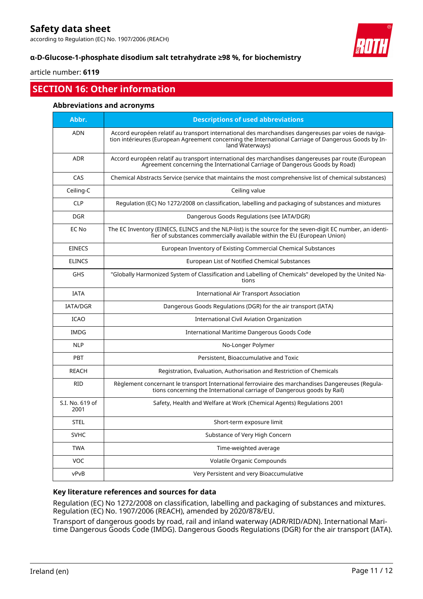according to Regulation (EC) No. 1907/2006 (REACH)



# **α-D-Glucose-1-phosphate disodium salt tetrahydrate ≥98 %, for biochemistry**

article number: **6119**

# **SECTION 16: Other information**

### **Abbreviations and acronyms**

| Abbr.                   | <b>Descriptions of used abbreviations</b>                                                                                                                                                                                       |
|-------------------------|---------------------------------------------------------------------------------------------------------------------------------------------------------------------------------------------------------------------------------|
| <b>ADN</b>              | Accord européen relatif au transport international des marchandises dangereuses par voies de naviga-<br>tion intérieures (European Agreement concerning the International Carriage of Dangerous Goods by In-<br>land Waterways) |
| <b>ADR</b>              | Accord européen relatif au transport international des marchandises dangereuses par route (European<br>Agreement concerning the International Carriage of Dangerous Goods by Road)                                              |
| CAS                     | Chemical Abstracts Service (service that maintains the most comprehensive list of chemical substances)                                                                                                                          |
| Ceiling-C               | Ceiling value                                                                                                                                                                                                                   |
| <b>CLP</b>              | Regulation (EC) No 1272/2008 on classification, labelling and packaging of substances and mixtures                                                                                                                              |
| <b>DGR</b>              | Dangerous Goods Regulations (see IATA/DGR)                                                                                                                                                                                      |
| EC No                   | The EC Inventory (EINECS, ELINCS and the NLP-list) is the source for the seven-digit EC number, an identi-<br>fier of substances commercially available within the EU (European Union)                                          |
| <b>EINECS</b>           | European Inventory of Existing Commercial Chemical Substances                                                                                                                                                                   |
| <b>ELINCS</b>           | European List of Notified Chemical Substances                                                                                                                                                                                   |
| <b>GHS</b>              | "Globally Harmonized System of Classification and Labelling of Chemicals" developed by the United Na-<br>tions                                                                                                                  |
| <b>IATA</b>             | <b>International Air Transport Association</b>                                                                                                                                                                                  |
| <b>IATA/DGR</b>         | Dangerous Goods Regulations (DGR) for the air transport (IATA)                                                                                                                                                                  |
| <b>ICAO</b>             | International Civil Aviation Organization                                                                                                                                                                                       |
| <b>IMDG</b>             | International Maritime Dangerous Goods Code                                                                                                                                                                                     |
| <b>NLP</b>              | No-Longer Polymer                                                                                                                                                                                                               |
| <b>PBT</b>              | Persistent, Bioaccumulative and Toxic                                                                                                                                                                                           |
| <b>REACH</b>            | Registration, Evaluation, Authorisation and Restriction of Chemicals                                                                                                                                                            |
| <b>RID</b>              | Règlement concernant le transport International ferroviaire des marchandises Dangereuses (Regula-<br>tions concerning the International carriage of Dangerous goods by Rail)                                                    |
| S.I. No. 619 of<br>2001 | Safety, Health and Welfare at Work (Chemical Agents) Regulations 2001                                                                                                                                                           |
| <b>STEL</b>             | Short-term exposure limit                                                                                                                                                                                                       |
| <b>SVHC</b>             | Substance of Very High Concern                                                                                                                                                                                                  |
| <b>TWA</b>              | Time-weighted average                                                                                                                                                                                                           |
| VOC                     | Volatile Organic Compounds                                                                                                                                                                                                      |
| vPvB                    | Very Persistent and very Bioaccumulative                                                                                                                                                                                        |

# **Key literature references and sources for data**

Regulation (EC) No 1272/2008 on classification, labelling and packaging of substances and mixtures. Regulation (EC) No. 1907/2006 (REACH), amended by 2020/878/EU.

Transport of dangerous goods by road, rail and inland waterway (ADR/RID/ADN). International Maritime Dangerous Goods Code (IMDG). Dangerous Goods Regulations (DGR) for the air transport (IATA).